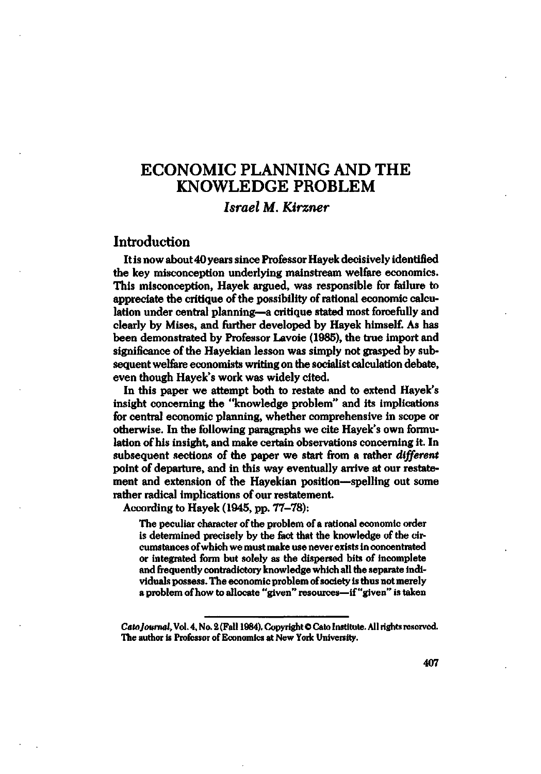# **ECONOMIC PLANNING AND THE KNOWLEDGE PROBLEM** *Israel M. Kirzner*

# **Introduction**

**Itis now**about40 years**since Professor Hayek decisively** Identified **the key misconception underlying** mainstream welfare economics. This misconception, **Hayek argued, was responsible for failure to** appreciate **the** critique ofthe possibility **of**rational economic calcu**lation** under central planning—a critique stated most forcefully and **clearly by Mises,** and further **developed by Hayek himself. As has** been demonstrated by Professor Lavoie (1985), **the** true import and significance **ofthe** Hayekian lesson was simply not grasped **by sub**sequent welfare economists writing on the socialist calculation debate, **even though Hayek's work was widely cited.**

**In this** paper **we** attempt both to restate **and to** extend Hayek's insight concerning **the** "knowledge problem" and **its implications fur** central **economic** planning, **whether comprehensive in** scope **or otherwise. In the following** paragraphs **we**cite **Hayek's** own formulation of his insight, and make certain observations concerning it. In **subsequent** sections **of the** paper **we** start from **a** rather *different* **point of** departure, **and in this** way **eventually** arrive **at our** restate**ment and extension of the Hayekian position—spelling out some rather radical implications** of our restatement.

According **to Hayek (1945, pp.71—78):**

**The peculiar** character**of the problem of a** rational economic order **Is** determined **precisely by the fret** that **the** knowledge **of the cir cumstances** of which we must make use never exists in concentrated **or Integrated form but solely as the dispersed bits of incomplete** and **frequently**contradictory knowledge **whichallthe separate Indi** viduals **possess, Theeconomicproblem of**society Is**thus** not**merely a problemofhow to** allocate "given" resources—If**"given" istaken**

*Cato Journal*, Vol. 4, No. 2 (Fall 1984). Copyright © Cato Institute. All rights reserved. The author is Professor of Economics at New York University.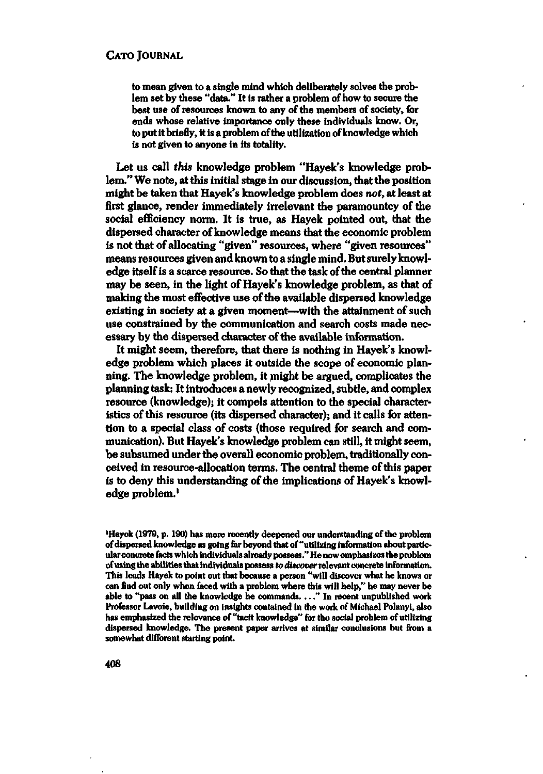**to** mean given to a single mind **which** deliberately **solvesthe** problem set by these "data." It is rather a problem of how to secure the best **use of** resources known to any of the members of society, for ends whose relative Importance only **these** Individuals know. Or, to put it briefly, it is a problem of the utilization of knowledge which is not given to anyone in its totality.

Let us call *this* knowledge problem "Hayek's knowledge prob**lem,"We note, at this** initial stage in our discussion,that**the position** might be taken that Hayek's knowledge problem does not, at least at first glance, **render** immediately irrelevant **the** paramountcy **of the** social efficiency norm. It is true, as **Hayek pointed out, that the** dispersed character of knowledge means that the economic problem **is** not that of allocating **"given"** resources, **where "given** resources" means resources given andknown **to a single**mind. **But**surelyknow! edge **itselfis a** scarce resource. **So** that **the** task **ofthe** central **planner may be seen, in the** light **of Hayek's knowledge problem, as** that **of** making **themost effective** use of the available dispersed knowledge existing in society at a given moment—with the attainment of such **use** constrained **by the communication and** search costs **made** necessary**by the dispersed** character **ofthe available information.**

It might seem, therefore, that there is nothing in Hayek's **know!** edge problem which places **it outside the scope of economic** planning. **The knowledge problem, it** might be argued, complicates **the** planning task: **It**introduces a**newly recognized, subtle,** andcomplex resource **(knowledge); it** compels attention to **the** special characteristics of this resource (its dispersed character); and it calls for atten**tion to a** specIal class **of costs (those required for** search and **com**munication).**But Hayek's** knowledge **problem can still, it**might seem, **be subsumed under the overall** economic problem, traditionallyconceived In resource-allocation terms.**The central theme of** this paper Is to **deny this** understanding **of the** implications **of Hayek's knowledge problem.'**

<sup>&#</sup>x27;Hayek (1979, p. 190) has more recently deepened ourunderstanding of the problem of dispersed knowledge as going far beyond that of "utilizing information about particularconcretefactswhichindividuals alreadypossess." **He**nowemphasizestheproblem ofusing**the** abilitiesthatindividuals possess *todlwooer*relevantconcrete Information. This leads Hayek to point out that because aperson"will discover what he knows **or** can find out only when faced with a problem where this will help," he may never be able to "pass on all the knowledge he commands. ,.." In recent unpublished work Professor Lavole, building on Insights contained inthe work **of** MIchael Polanyi, also has emphasized the relevance of "tacit knowledge" for the social problem of utilizing dispersed knowledge. The present paper arrives at similar conclusions but from a somewhat different starting point.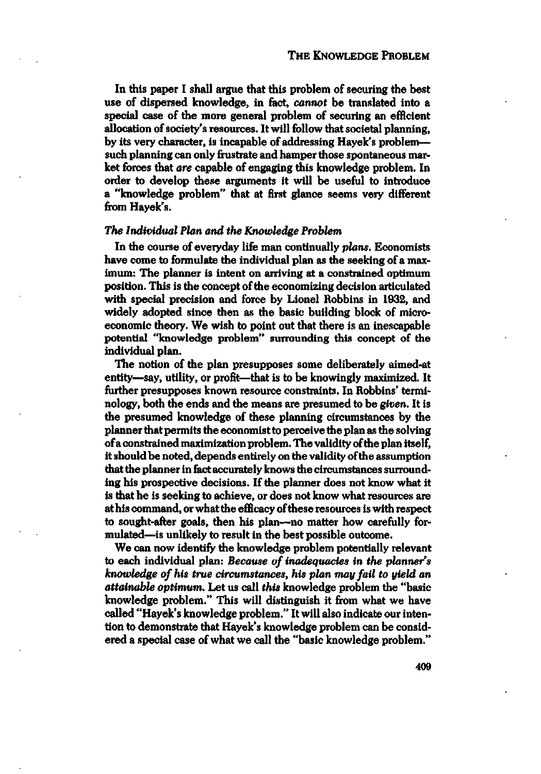**In this** paper **I** shall argue that this **problem of** securing **the best** use **of** dispersed knowledge, In fact *cannot* **be** translated into a special case of the more general problem of securing an efficient allocation of society's resources. It will follow that societal planning, by its very character, **is** Incapable **of addressing Hayek's** problem such planning can only frustrate and hamper those spontaneous mar**ket** forces that *are* capable **of engaging this knowledge problem. In** order to develop these arguments **it** will be useful **to** introduce **a** "knowledge problem" that at first glance seems very different from Hayek's.

#### *The Individual Plan and the Knowledge Problem*

**In the** course **of everydaylife** mancontinually *plans.* Economists **have come to** formulate **the** individual plan as **the seeking of amax-Imum: The** planner is Intent **on arriving at a** constrained optimum position. This is the concept of the economizing decision articulated with special precision and force **by Lionel Bobbins in** 1932, and widely adopted since then as the basic building block of microeconomic theory. **We** wish **to point out that** there is an inescapable potential "knowledge problem" surrounding this concept of the individual plan.

**The notion of the** plan presupposes some deliberately aimed-at entity—say, utility, **or** profit—that**is to be** knowingly maximized. It further presupposes known resource constraints. **In Bobbins'** terminology, both **the ends and the** means are presumed to be *given.* **Itis the presumed knowledge of these** planning circumstances **by the planner**that**permits the economistto perceive theplanas the solving ofa** constrainedmaximization **problem. The**validity**of the**plan **itself, itshould be noted, depends entirely on the**validity **ofthe** assumption **thattheplanner in fict**accurately knows**the** circumstances surround**ing**his prospective **decisions.If the planner does not know what it Isthat he is seeking to achieve, or does not knowwhat resources are athis command, orwhatthe** efficacy **oftheseresources is** with **respect to sought-after goals, then his plan—no** matter **how carefully formulated—is unlikelyto result in the best possible outcome.**

**Wecan now identify the knowledge problem potentially relevant to** each individual **plan:** *Because of Inadequacies In the planner's knowledge of his true circumstances, his plan may fall to yield an attainable optimum.* Let **us** call *this* **knowledge problemthe** "basic **knowledge problem."** This **will distinguish it** from what **we have called "Hayek's knowledge problem." It**will **also indicate our intention to demonstrate** that **Hayek's knowledge problemcan be considereda** specIal case **of what we** call **the "basic knowledge problem."**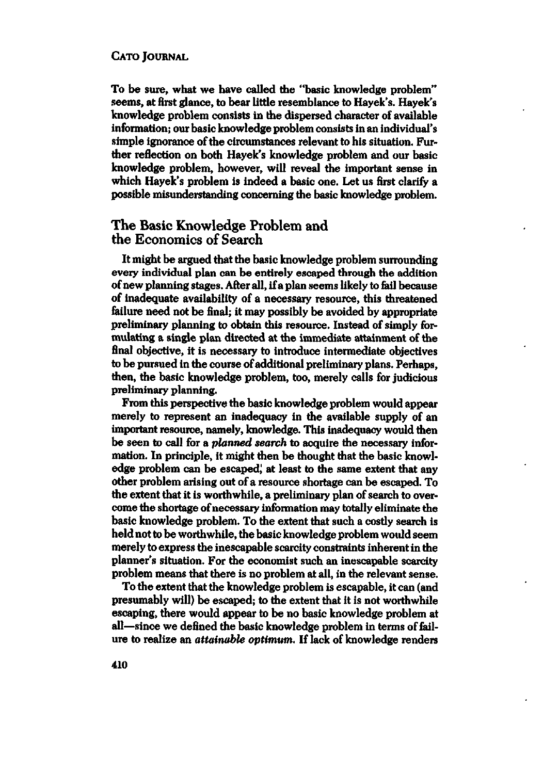**To be** sure, what **we have called the** "basic knowledge **problem"** seems, **at first** glance, **to bear** little resemblance **to Hayek's. Hayek's knowledge problem** consists **In the dispersed character of available** information; our basic**knowledge problem** consists**In an** Individual's simple ignorance of the circumstances relevant to his situation. Fur**ther** reflection **on both Hayek's knowledge problem and our** basic **knowledge problem, however, will** reveal **the important sense in** which **Hayek's problem is indeed a** basic **one.** Let **us first** clarify **a** possible misunderstanding concerning the basic knowledge problem.

# **The Basic Knowledge Problem** and **the Economics of Search**

**Itmight be argued** that**the basic knowledge problem surrounding every** individual plan **can be entirely escaped through the** addition **ofnewplanning stages.After all,Ifa plan seems likely to fall because of inadequate** availability of a necessary resource, this threatened failure **need notbe final; it**may **possibly be avoided byappropriate** preliminary planning to obtain this resource. Instead of simply for**mulating** a single plan directed at the immediate attainment of the final **objective, itis necessary to introduce intermediate objectives to be pursued in the course of**additional **preliminary plans. Perhaps, then, the basic knowledge problem, too, merely calls for** judicious **preliminary planning.**

**Fromthisperspective thebasic knowledge problem would appear merely to represent an Inadequacy in the available supply of an** Important **resource, namely, knowledge. This Inadequacy would then** be seen to call for a *planned search* to acquire the necessary information. In principle, it might then be thought that the basic knowledge problem can be escaped, at least to the same extent that any **other problem arising out ofa resource shortage can be escaped. To the** extent that it is worthwhile, a preliminary plan of search to over**come theshortage of**necessary information may **totally eliminate the basic knowledge problem. To the extent that such a** costly **search is held**not **tobe worthwhile,the basic knowledgeproblem would seem merely** to express the inescapable scarcity constraints inherent in the **planner's situation. For the economist such an inescapable** scarcity **problem means** that **there is noproblem at all,in therelevantsense,**

**To** the extent that the knowledge problem is escapable, it can (and **presumably will)** be escaped; to the extent that it is not worthwhile **escaping, there would appear to be no basic knowledge problem at all—since we defined the basic knowledge problem in terms of**fall**tire to** realize **an** *attainable optimum.* **If**lack **ofknowledge renders**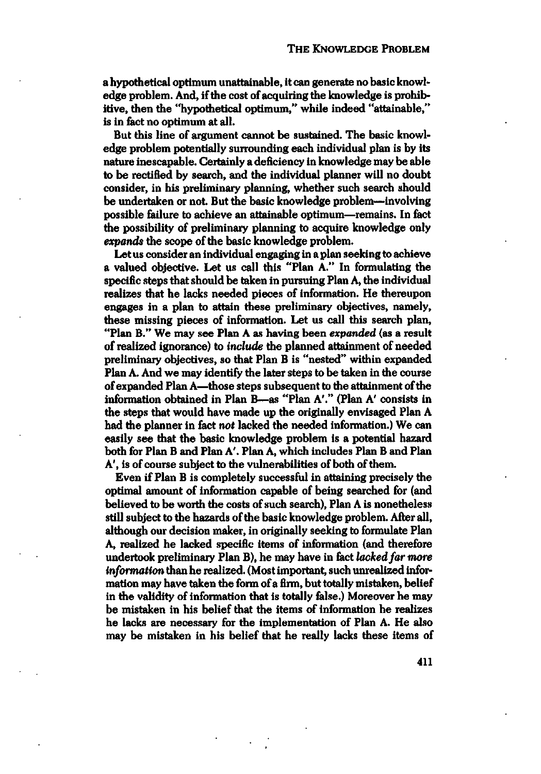**a**hypothetical optimum **unattainable, it can generate no basic know!** edge **problem. And, Ifthe cost of**acquiring **theknowledge is prohibitive, then the** "hypothetical **optimum," while indeed "attainable," Is in factno** optimum**at all.**

**But** this **line of argument cannot be sustained. The basic knowledge problem potentially surrounding** each individual **plan is by** its **nature Inescapable. Certainly a deficiency in knowledge** may **be able to be rectified by search, and the** individual **planner** will **no doubt consider, in his** preliminary planning, **whether such search should be undertaken or** not. **But the basicknowledge problem—involving possible failure to achieve an attainable optimum—remains. In fact the** possibility of preliminary planning to acquire knowledge only *expands***the scope ofthe basic knowledge problem.**

Let**us consider an** individual **engagingin a plan seekingto achieve a valued objective.** Let **us** call **this** "Plan **A." In** formulating **the specific stepsthat should be taken in** pursuing **Plan A,the** individual realizes **that he lacks needed** pieces **of information. He thereupon engages in a** plan **to attaIn these preliminary objectives, namely, these** missing pieces of information. Let us call this search plan, **"Plan B." We** may see **Plan A as** having been *expanded* **(as a result of**realized ignorance) **to** *include* **the plannedattainment of needed preliminary objectives, so that Plan B is "nested" within expanded** Plan**A. And we may identify the later steps to be taken in the course of**expanded **Plan A—those steps subsequentto the attainment ofthe information obtained in** Plan **B—as "Plan A'." (Plan A' consists in the steps** that **would have** made **up the** originally **envisaged** Plan **A had theplanner in fact** *not* **lacked the needed information.) We can** easily see that **the basic knowledge problem is a** potential **hazard both for Plan B and Plan A'.** Plan**A, which includes Plan B and** Plan **A', is ofcourse subject to the vulnerabilities of**both **of them.**

**Even ifPlan <sup>B</sup> is completely successful in attaining precisely the optimal** amount **of information capable of being searched for (and believedto be worth the** costs **ofsuch search),** Plan **Ais nonetheless** still **subject to the** hazards **of thebasic knowledge problem.** After **all, although our decision maker, in originally seeking to formulate Plan A,** realized **he lacked specific items of information (and therefore undertook preliminary** Plan **B), he** may **have in fact***lackedfar more infonnatlon* **than he realized. (Most**important, **suchunrealized information** may **have taken the form ofa firm, buttotallymistaken, belief in the** validity **ofinformation** that **is totally false.) Moreover he** may **be mistaken in his belief** that **the items of information he realizes he lacks are necessary for the implementation of** Plan **A. He also** may **be mistaken In his belief** that **he really lacks these items of**

411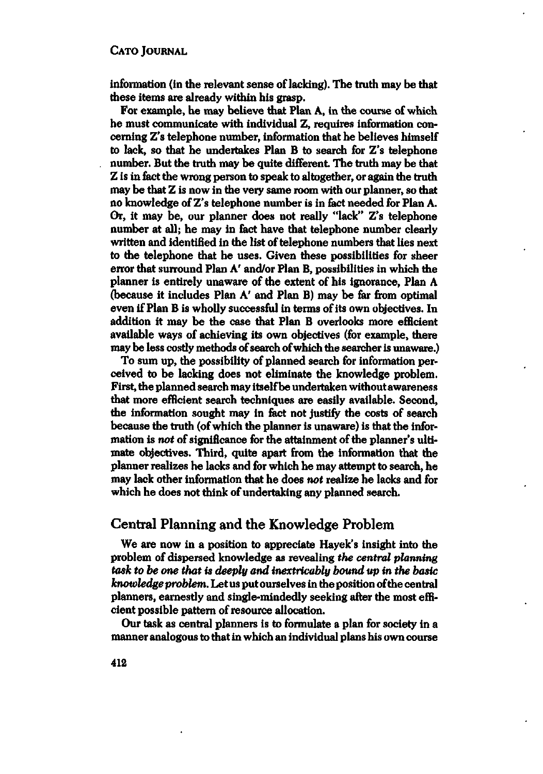Information **(In the relevant sense of** lacking). **The** truth **may be** that **these** items are already within his grasp.

For example, **he** may **believe that Plan A, in the course of which he must** communicate with individual **Z,** requires information **con**cerning **Z's telephone** number, Information **that he believes himself to lack, so** that **he** undertakes Plan B **to** search **for Z's telephone number. Butthe** truth may **be** quite different **The** truth **may be** that **Z is in factthe**wrong person **to** speak **to** altogether,or again**the**truth **may be thatZ is now in the very** same room wIth **our planner, so that no knowledge ofZ's telephone number isin fact needed for** PlanA. Or, it **may be,** our planner does **not** really "lack" **Z's telephone** number at **all; he may In fact have** that **telephone** number clearly written **and Identified in the** list **oftelephone** numbersthatlies next **to the telephone that he uses. Given these possibilities for sheer** errorthat surround PlanA' **and/or Plan B, possibilities In** which **the** planner is entirely unaware of the extent of his ignorance, Plan A (because **it includes Plan A' and Plan B) may be far** from optimal **even If**Plan **B is wholly** successful **in terms of** its own **objectives. In addition It may be the** case that **Plan B overlooks more efficient** available ways **of achieving** its own **objectives (for example, there** may be less costly methods of search of which the searcher is unaware.)

To sum up, the possibility of planned search for information perceived to be lacking does **not** eliminate the knowledge problem. First, the planned search may itself be undertaken without awareness **that more efficient** search **techniques are easily** available. Second, the information sought may **in fact not justify the costs of** search because **the** truth **(ofwhich the** planner Is unaware) **isthatthe** information is not of significance for the attainment of the planner's ultimate objectives. Third, quite apart from **the** information that **the** plannerrealizes **he** lacks and **for which he may** attempt **to** search, **he may** lack **other** information that **he does** *not* realize **he** lacks **and for** which **he does not think of**undertaking**any** planned search.

## **Central Planning and the Knowledge Problem**

**We are now in a position to** appreciate Hayek's insight **into the** problem of dispersed **knowledge as** revealing *the central planning task to be one that is deeply and inextricably bound up in the basic knowledge problem.*Letus**putourselvesin theposition ofthe** central planners, earnestly **and** single-mlndedly seeking after **the most effi- cient possible** pattern **of**resource allocation.

**Our** task as central **planners is to formulate a plan for** society **in a manneranalogousto** that**in which an individualplans his** own **course**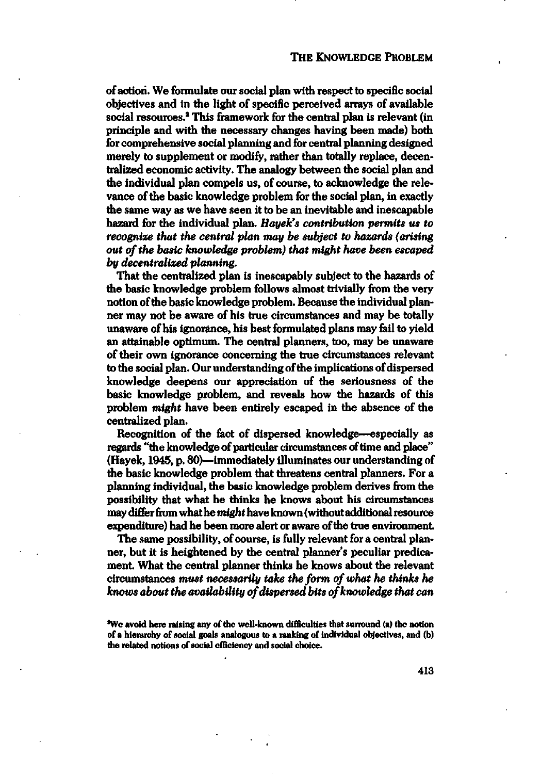**of** action. We formulate our social plan with respect to specific social **objectives and In the light of**specific **perceived** arrays **of available** social resources.' **This framework for the** central **plan is relevant (in principle** and with **the** necessary **changes** having been **made) both for comprehensive** social**planning and for** central planning designed **merely to supplement or** modify, **rather than totally** replace, **decentralized economic activity. The analogy between the** social **plan and the** individual plan compels us, of course, to acknowledge the rele**vance ofthe basic knowledge problem for the** social**plan, In exactly the** same **way as we have seen itto be an inevitable** and **inescapable hazard for the individual plan.** *Hayek's contribution permits us to recognize that the central plan may be subject to hazards(arising out ofthe basic knowledge problem) that might have been escaped by decentralized planning.*

That **the** centralIzed plan **is inescapably** subject **to the hazards of the** basic **knowledge problem follows almost** trivially from **the very notion ofthebasic knowledge problem. Because the** individual**planner may** not **be** aware **ofhis** true circumstances **and may be totally** unaware **ofhis** ignorance, **his bestformulated plans may**fall to **yield an attainable optimum. The** central **planners, too, may be** unaware **of their own ignorance** concerning **the** true circumstances **relevant to the**social**plan. Our understanding oftheimplications ofdispersed knowledge** deepens **our appreciation of the seriousness of the basic knowledge problem, and reveals how the** hazards **of** this **problem** *might* **have** been **entirely** escaped **in the absence of the** centralized **plan.**

**Recognition of the** fact **of dispersed knowledge—especially as regards "theknowledgeofparticular** circumstances **of**time **and place" (Hayek, 1945, p.** 80)—immediatelyilluminates **our** understanding **of the** basic knowledge problem that threatens central planners. For a **planning individual**, the basic knowledge problem derives from the possibility that **what he thinks he** knows **about his** circumstances **may**differfrom what**be** *might***have known (without** additional resource **expenditure) had he** been**more** alert **or** aware **ofthe**true **environment**

**The same possibility, of**course, **is fully relevant for a** central **planner, but it Is heightened by the** central **planner's peculiar predica**  $m$  ment. What the central planner thinks he knows about the relevant circumstances *must necessarily take theform ofwhat he thinks he knows about the availability ofdispersed bitsofknowledge thatcan*

<sup>&</sup>lt;sup>3</sup>We avoid here raising any of the well-known difficulties that surround (a) the notion of a hierarchy of social goals analogous to a ranking of individual objectives, and (b) the related notions of social efficiency and social choice.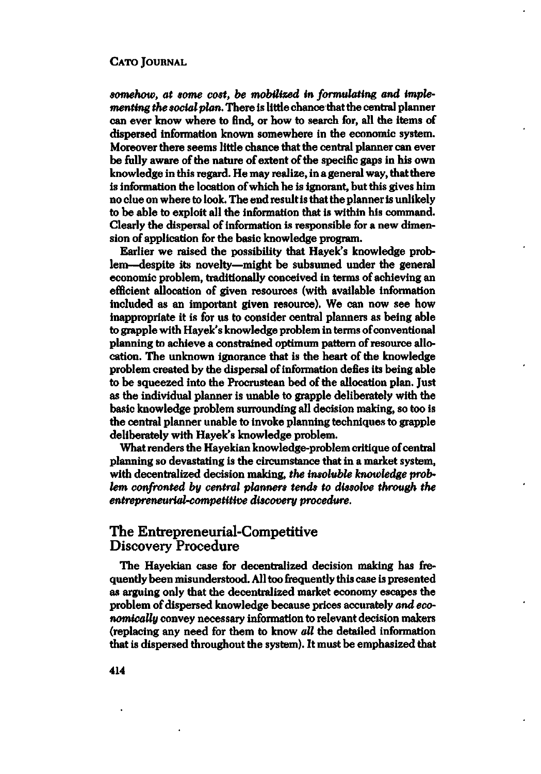#### **CAm** JOURNAL

*somehow, at some cost, be mobilized In formulating and Implementing the social plan.***There is**little chancethat**the**central planner **can everknow where to find, or how to** search **for,** all **the items of dispersed** Information known **somewhere in the** economic **system. Moreover there seems little chance** that**thecentral planner can ever be fully aware ofthe nature ofextent ofthespecific gaps In his** own **knowledge in** this**regard.lie** may**realize,in a generalway,**that**there is Information the locationofwhich he is** ignorant, **butthis** gives hun **noclue on where to look, The endresult isthattheplanner Is unlIkely to be able to exploit all the information thatis within his command. Clearly the** dispersal **ofinformation Is responsible for a new dimensIon ofapplIcation for the basic knowledge** program.

**EarlIer we raised the possibility that Hayek's knowledge prob lem—despite** its **novelty—might be subsumed under the general economic problem, traditionally conceived in** terms **ofachieving an efficient** allocation **of given resources (with available Information included as an important given resource). We can now see how Inappropriate it is** for us **to** consider central **planners as being able to grapple with Hayek's knowledge problemin terms ofconventional** planning **to achieve a** constrained **optimum**pattern **of**resource **allo cation. The** unknown ignorance that **is the** heart **ofthe knowledge problem createdbythe** dispersal **of**information **defies** its **being able to be squeezed into the Procrustean bed ofthe allocation plan. Just as the individual planner is unable to grapple deliberately with the basIc knowledge problem** surrounding **alldecision** making, **so too is the centralplanner unable to Invoke planning techniques to grapple deliberately with Hayek's knowledge** problem.

What**renderstheHayekian knowledge-problem critiqueof**central **planning so devastating is the circumstance thatin a marketsystem, with decentralized decision making,** *the insoluble knowledge problem confronted by central planners tends to dissolve through the entrepreneurial-competitive discovery procedure.*

# **The Entrepreneurial-Competitive Discovery Procedure**

The Hayekian case **for** decentralized **decision making has frequently been** misunderstood. Alltoo frequently thiscase **is presented as** arguingonly that the decentralized **market economy escapes the problem of dispersed knowledge becauseprices accurately** *and economically* convey necessary information to relevant decision makers **(replacing any need for them to know** *all* **the detailed information** that **is dispersedthroughout thesystem). It must be emphasized that**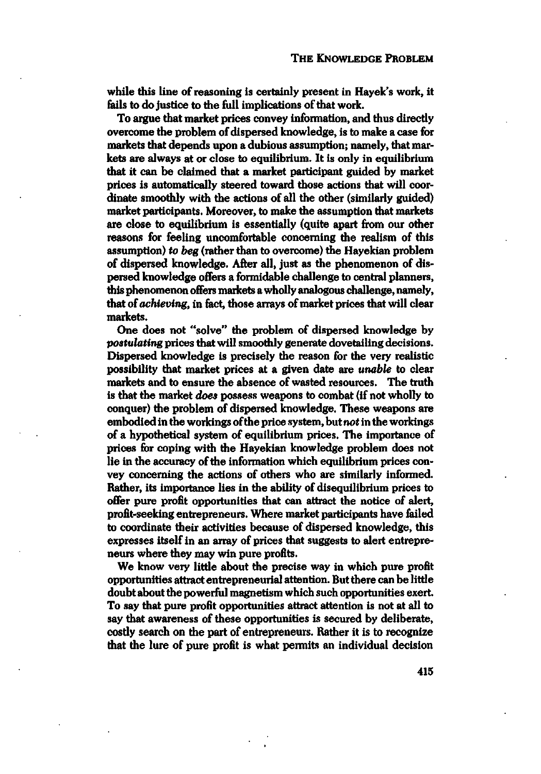while this line **ofreasoning is certaInly present In Hayek's work, ft** fails to do justice to the full implications of that work.

**To** argue that **market prices convey** Information, **and thus** directly **overcome the problem of**dispersed**knowledge, is to** make **a** case **for** markets **thatdepends upon adubious assumption; namely,** that**mar kets are always ator close to equilibrium. It is only in equilibrium that ft can be** claimed **that a** market participant **guided by market** prices **is automatically steered toward those actions that** will **coordInate smoothly with the** actions **ofall the other (similarly** guided) **market participants. Moreover, to** make**the assumption** that markets **are close to equilibrium is** essentially **(quite** apart from **our other** reasons **for feeling uncomfortable concerning the realism of this assumption)** *to beg* **(rather than to overcome)the Hayekian problem of** dispersed **knowledge.** After **all, just as the phenomenon of dis persedknowledge offers a formidable challenge to** central **planners, thisphenomenon offersmarkets awholly analogous challenge, namely,** that **of***achieving,* **in fitct,those** arrays **ofmarket** prices**that will clear** markets.

One does **not "solve" the problem of dispersed knowledge by** *postulating* prices thatwill smoothly **generate dovetallingdecisions. Dispersed knowledge is precisely the reason for the very realistic possibility** that market **prices at a given date are** *unable* **to** clear markets **and to** ensure **the absence of** wasted resources. **The** truth **Is** that **the** market *does* possess weapons **to** combat (If **not wholly to conquer) the problem of dispersed knowledge. These** weapons are embodied**in the**workings**ofthepricesystem, but** *not* **in theworkings of a** hypothetical system **of equilibrium prices. The importance of prices for coping with the** Hayeklan knowledge **problem** does not lie in the accuracy of the information which equilibrium prices con**vey concerning the actions of others who are sImilarly informed.** Rather, its **importance lies In the ability of disequilibrium prices to offer** pure profit opportunities that can attract the notice of alert, **profit-seeking entrepreneurs. Where market participants have failed to** coordinate **their** activities because **of** dispersed **knowledge,** this **expresses itselfin an** array **of prices that** suggests **to** alert entrepreneurs **where they may win pure profits.**

**We know very little about the** precise **way in which** pure **profit** opportunities attract entrepreneurial attention. **Butthere can be** little **doubt about the powerful magnetism which such opportunities exert. To** say that pure **profit opportunities attract** attention **is not at all to** say **that awareness ofthese opportunities is secured by deliberate,** costly search **on the part of** entrepreneurs. Rather ft **is to** recognize **that** the lure of pure profit is what permits an individual decision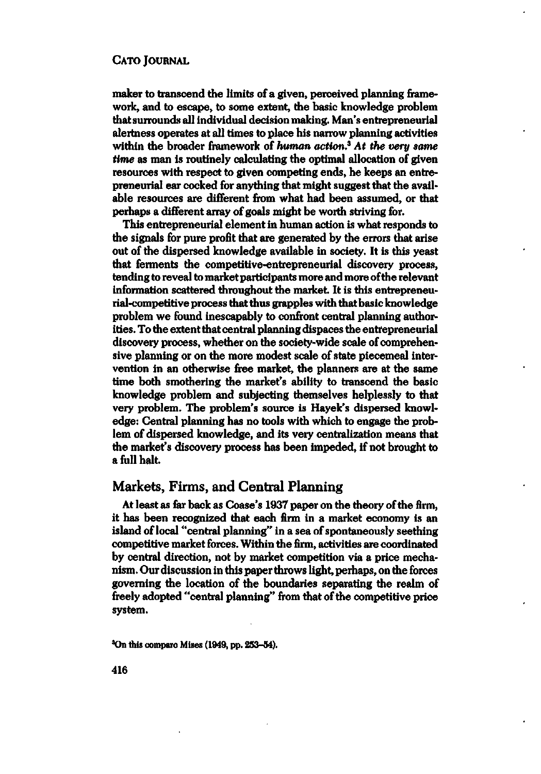maker**to** transcend **the limits of a given,**perceived **planning frame work, and to escape, to** some extent, the basic **knowledge problem that**surrounds **all** individual**decision** making,**Man's** entrepreneurial alertness operates **at all times top~**his narrow planning activities **within the** broader **framework of** *human action.3 At the very same time* **as man is routinely** calculating **the** optimal **allocation of given** resources with respect to given competing ends, he keeps an entre**preneurial ear** cocked for anything that might suggest that the avail**able resources are different from what had** been **assumed, or that perhaps a different** array **of**goals **might be worth** striving **for.**

This entrepreneurial element in human action is what responds to **the signals for pure profit** that **are generated bythe** errors **that arise** out **ofthe dispersed knowledgeavailable in** society. **It Is** this **yeast that forments the competitive-entrepreneurial** discovery **process, tendingtoreveal tomarket**participants more **and** more **ofthe relevant information scatteredthroughout the market It is this entrepreneu rial-competitive processthat**thus **grapples withthat**basic**knowledge problem we** Ibund **Inescapably to** confront **central planning author** ities. To the extent that central planning dispaces the entrepreneurial discovery process, whether on the society-wide scale of comprehen**sive planning or on the more modest scale ofstate piecemeal inter vention In an otherwise** free market, **the planners are at the** same time **both smothering the market's abIlity to transcend the basic knowledge problem** and **subjecting themselves helplessly to that very problem. The problem's source is Hayek's dispersed knowledge:** Central planning **has no tools withwhich to engage theproblem ofdispersed knowledge, and** Its **very centralization means that the**market's **discovery process has been Impeded, If** not **brought to a hill**halt

# **Markets, Firms,** and Central Planning

At least as far back as Coase's 1937 paper on the theory of the firm, **it has been recognized that each firm in a market** economy is an island of local "central planning" in a sea of spontaneously seething competitive market forces. Within the firm, activities are coordinated **by** central direction, not **by** market competition via aprice mechanism. Our discussionin thispaperthrowslight, perhaps,**on the** forces **governing the location of the** boundaries separating **the** realm **of** freely adopted "central **planning"** fromthat **of the competitive price** system.

**'On this** compare Mlses (1949, pp. 253-54).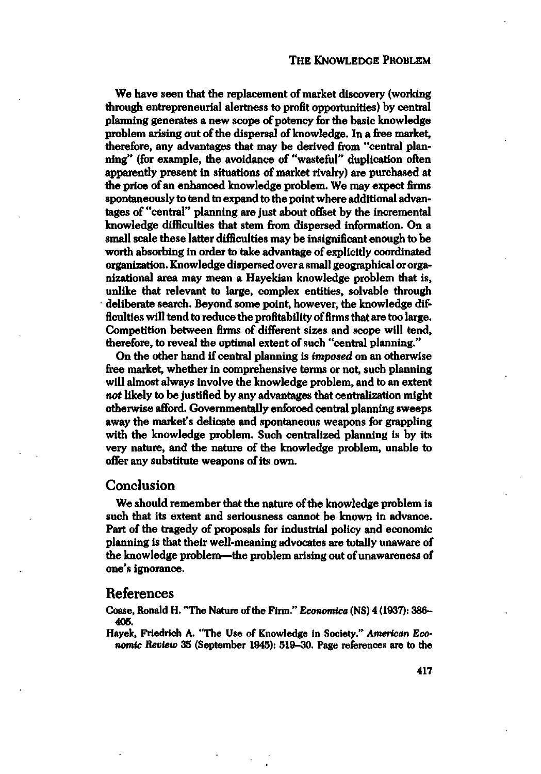**We have seen** that **the replacement of market** discovery (working through entrepreneurial alertness **to profit opportunities) by** central planning generates a new scope of potency **for the** basic **knowledge problem** arising**out ofthe dispersal of knowledge. In a free** market, therefore, any advantages that may be derived from "central **planning" (for example, the avoidance of** "wasteful" **duplication often** apparently present In situations **of market rivalry) are** purchased at **theprice ofan** enhanced **knowledge problem. We may** expect firms spontaneously**to tendto** expandto **thepoint where** additional **advan**tages **of** "central" planning are just about offset by the incremental **knowledge difficulties that stem** from dispersed information. **On a** small scale **these**latter difficulties may **be** Insignificant **enough to be** worth absorbing in order**to** take advantage **of**explicitly coordinated organization.**Knowledge** dispersed**overa**small geographicalororganizational area may mean a Hayekian **knowledge problem that is,** unlike that relevant to large, complex entities, solvable through **deliberate** search. **Beyond some point, however, theknowledge dif**ficulties will tend to reduce the profitability of firms that are too large. **Competition** between firms **of different**sizes and scope will tend, **therefore, to** reveal the optimal extent **of such** "central planning."

**On the** other hand **if** central planning **is***Imposed* **on an** otherwise **free** market, whether In comprehensive terms or not, **such planning will** almost always involve the knowledge problem, and **to an extent** *not* likely to be justified by any advantages that centralization might otherwise afford. Governmentally enforced central planning sweeps away the market's delicate **and** spontaneous weapons for grappling **with the knowledge problem. Such** centralized planning **is by** Its **very** nature, **and the nature of the knowledge problem, unable to offer any substitute weapons of** its own.

# **Conclusion**

**We should remember**that**the nature of theknowledge problem is such** that its extent and **seriousness** cannot **be known in advance.** Part **of the** tragedy of proposals for industrial policy **and economic** planning **is**that their well-meaningadvocates are **totally**unaware **of the knowledge problem—the problem arising out ofunawareness of one's** ignorance.

#### **References**

- Coase, Ronald H. "The Natureofthe Firm." *Economica* **(NS) 4(1931): 386— 405.**
- Hayek, Friedrich A. **"The Use of** Knowledge In Society." *Atnesican Eco- nomic RevIew* <sup>35</sup> (September 1945): 519-30. Page rekrences are to **the**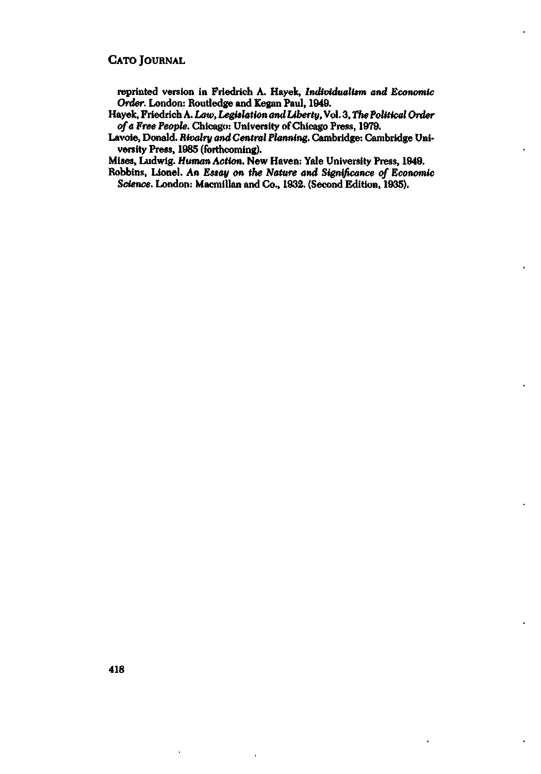reprinted version **In** Friedrich A. **Hayek,** *Individualinn and Economic Order,* London: Routledge and Kegan Paul, 1949.

- Hayek, Friedrich A. *Law, Legislation and Liberty, Vol.* 3, The Political Order *ofa FreePeople.* Chicago: University **ofChicago** Press, 1979.
- Lavoie, Donald. Rivalry and Central Planning. Cambridge: Cambridge University Press, 1985 (forthcoming).

Mises, Ludwig. *HumanAction.***New Haven: Yale** University Press, 1949.

**Robbins, Lionel.** *An Essay on the Nature and Sign4ficance of Economic* Science. London: Macmillan and Co., 1932. (Second Edition, 1935).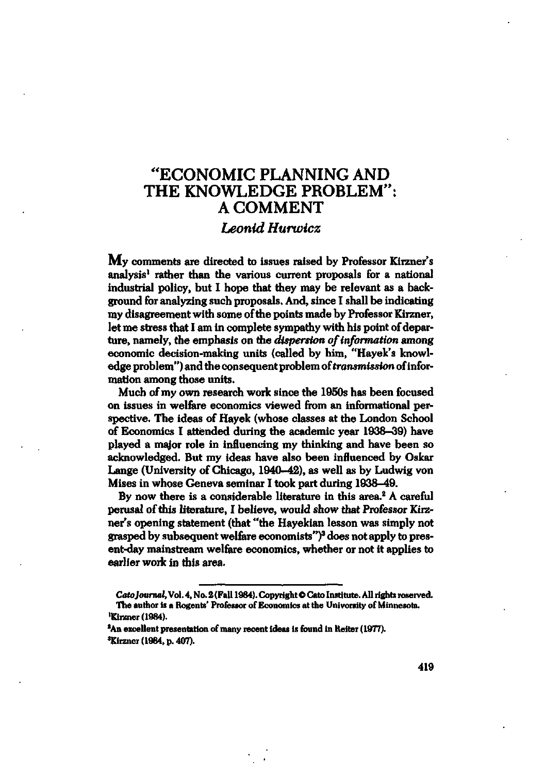# **"ECONOMIC PLANNING AND THE KNOWLEDGE PROBLEM": A COMMENT**

# *Leonid Hurwicz*

**M**y comments are directed to issues raised by Professor Kirzner's analysis' rather **than the** various current proposals **for a** national Industrial policy, **but <sup>I</sup> hope** that **they** may **be relevant as a** background **for** analyzing **such** proposals. And, since Ishall be indicating **my**disagreementwith **some ofthepoints** made **byProfossor** Kirzner, let me stress that I am in complete sympathy with his point of departure, namely, the emphasis on the *dispersion of information* among economic decision-making units (called **by him, "Hayek's knowl** edgeproblem") and**the** consequentproblemof*transmission* **ofinfor**mation **among those** units.

Much of **my** ownresearch **work since the** 1950s has been focused **on issues in** welfare economics **viewed** from an Informational perspective. **The ideas of Hayek (whose classes at the London School** of Economics I attended during the academic year 1938–39) have played a **major role In Influencing my thinking and have been so** acknowledged. But **my ideas have also been influenced by** Oskar Lange (University of Chicago, **1940—42), as well as by Ludwig von Mises** in whose Geneva seminar I took part during 1938–49.

**By now there is a considerable** literature **in this area.' A careful** perusal of this literature, I believe, would show that Professor Kirzner's opening statement (that "the Rayekian lesson was simply not grasped by subsequent welfare economists")<sup>3</sup> does not apply to present-day mainstream welfare economics, whether **or** not **it applies to** earlier work in this area.

CatoJournal, Vol. 4, No. 2 (Fall 1984). Copyright  $\Phi$  Cato Institute. All rights reserved. The author is a Rogents' Professor of Economics at the University of Minnesota. <sup>1</sup>Kirzner (1984).

<sup>&</sup>lt;sup>2</sup>An excellent presentation of many recent ideas is found in Reiter (1977). <sup>3</sup>Kirznor (1984, p. 407).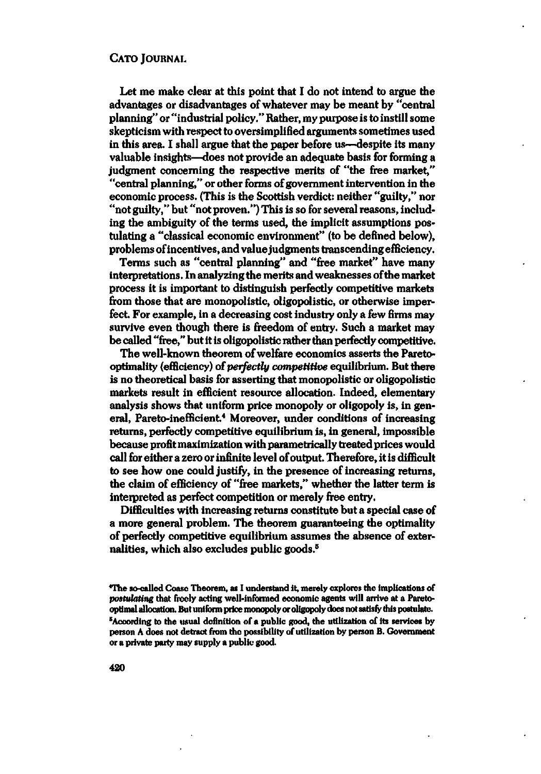Let me make clear at this point that I do not intend to argue the **advantages or disadvantages ofwhatever may be meant by** "central **planning" or"industrial policy." Rather, mypurposeis to instill some skepticism** with respect **to oversImplified** arguments **sometimes used in this area. I shall** argue that **the**paper before **us—despite** its many valuable insights—does **not** provide an adequate **basis for forminga judgment** concerning the respective merits of "the free market," "central**planning," or other forms of government intervention in the economicprocess. (This is the Scottish verdict: neither "guilty," nor "notguilty," but"not proven.")**This**is so for several**reasons,**including the ambiguity of the terms used, the Implicit** assumptions postulating **a "classical economic environment" (to be defined below), problems of incentives,**andvaluejudgments transcendingefficiency.

**Terms such as** "central planning" and **"free market" have** many interpretations. In analyzing the merits and weaknesses of the market **process itis** importantto distinguish perfectly **competitive** markets from **those** that are monopolistic, oligopolistic, or otherwise imperfect. **For example, in a** decreasing **cost industry only a few firms** may **survive even though there is** freedom of entry. Such a market may **be called** "free,"**but**it is oligopolistic **rather than** perfectlycompetitive.

**The well-known theorem of welfare economics** asserts**the** Paretooptimality (efficiency) **of***perfectly competitive* equilibrium. **Butthere** is no theoretical basis for asserting that monopolistic or oligopolistic markets result **in efficient** resource allocation, **Indeed, elementary** analysis shows that uniform price monopoly or oligopoly is, **in gen**eral, Pareto-inefficient.4 Moreover, under conditions **of** increasing returns, perfectly competitive equilibrium **is,** in general, Impossible becauseprofitmaximization**with**parametrically treatedprices would call **foreither a zero or** infinite **level ofoutput.Therefore,itis** difficult to see how one could justify, in the presence of increasing returns, **the** claim **of efficiency of** "free markets," **whether the** latter term Is Interpreted as perfect competition **or merely** free entry.

Difficulties with Increasingreturns constitute**but a** special case **of a** more **general problem. The theorem** guaranteeIng **the** optimality **of** perfectly competitive equilibriumassumes **the absence of** externalities, **which also excludes public** goods.'

<sup>&</sup>lt;sup>\*</sup>The so-called Coase Theorem, as I understand it, merely explores the implications of *postulating* that freely acting well-informed economic agents will arrive at a Paretooptimal allocation. But uniform price monopoly or oligopoly does not satisfy this postulate. <sup>5</sup>According to the usual definition of a public good, the utilization of its services by personA does not detract from the possibility **of** utilization **by** person B. Government or a private party may supply a public good.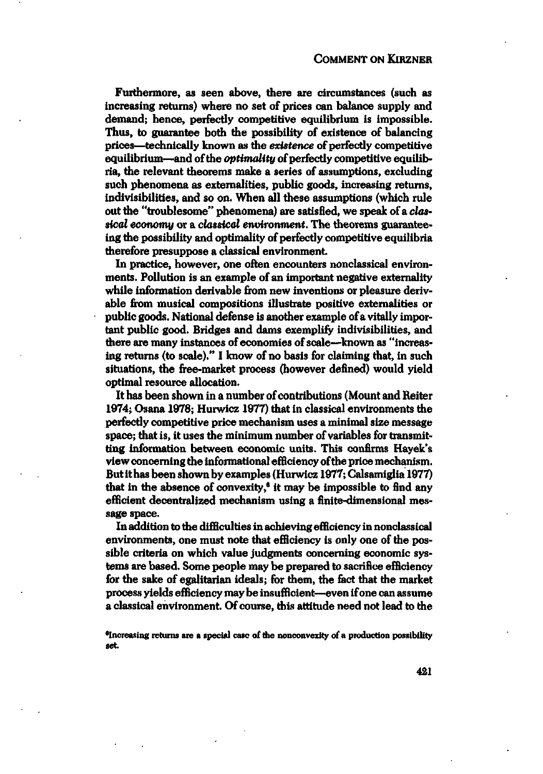**Furthermore, as seen above, there are** circumstances **(such as** Increasing returns) **where no set of prices can balance supply** and **demand; hence,** perfectly competitive **equilibrium Is impossible.** Thus, to guarantee **both the possibility of** existence **of** balancing prices—technically known as **the** *existence* **of**perfectly **competitive** equilibrium—and **of the***optlmailty* **of** perfectly **competitive equilibria, the relevant theorems** make a series **of** assumptions, excluding such phenomena as externalities, **public goods, increasing returns,** indivisibilities, and so on, When **all these** assumptions (which rule **out the** "troublesome" **phenomena) are satisfied, we speak ofa** *alas*slcal *economy* or aclassical *environment.* The theorems guaranteeing the possibility and optimality of perfectly competitive equilibria **therefore presuppose a classical environment**

In practice, **however, one often encounters nonclassical** environ**ments. Pollution is an example of an** important negative externality while information derivable from new inventions **or** pleasure **derivable** from **musical compositions illustrate positive** externalities **or public** goods. National defense is another example of a vitally impor**tant public** good. **Bridges and** dams **exemplifr indivisibilities,** and there are many instances of economies of scale--known as "increas**ing returns (to** scale)." **I know of no basis for claiming that, in such** situations, **the** free-market process **(however** defined) **would yield** optimal resource allocation.

It has been shown in a number of contributions (Mount and Reiter **1974;** Osana 1978; Hurwicz 1977) that **in classical environments the** perfectly competitiveprice **mechanism uses a minimal** size **message** space; **thatis, ituses the** minimum number**of**variables **for transmitting** information between economic units. This confirms **Hayek's view** concerning**the** Informational **efficiencyofthepricemechanism. Butithas** beenshown**byexamples**(Hurwicz 1977; Calsamiglia **1977)** that In **the absence of** convexity,6 **it** may be Impossible **to find** any **efficient** decentralized mechanism using a finite-dimensional **message space.**

In addition to the difficulties in achieving efficiency in nonclassical **environments, one must** note **thatefficiency is only one of the pos**sible criteria on which value judgments concerning economic systems are based. Some people may be prepared to sacrifice efficiency **for the sake of** egalitarian **ideals; far them, the fect that the** market **process yields efficiency**may**be insufficient—evenifone can assume a classical environment Of**course, **this attitude need** not lead **to the**

<sup>&</sup>lt;sup>6</sup>Increasing returns are a special case of the nonconvexity of a production possibility set.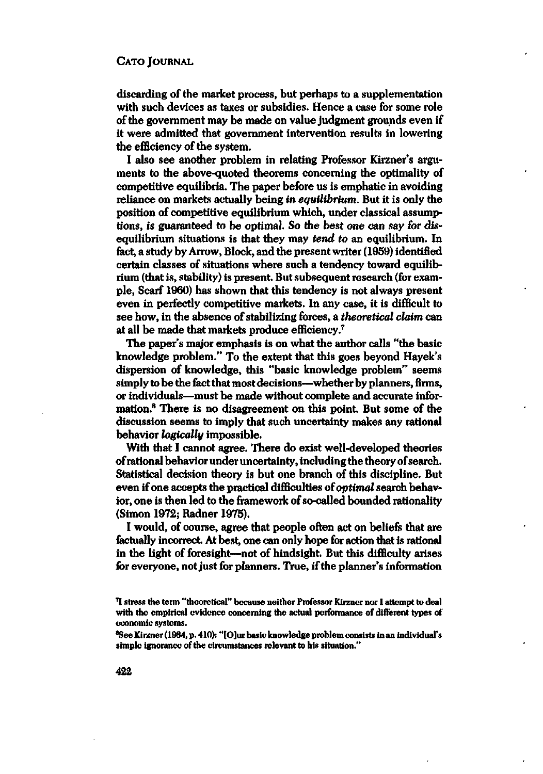**discarding of the market process, but perhaps to a supplementation with such devices as taxes or subsidies. Hence a** case **for some role ofthe government may be** made **on value Judgment** grounds **evenif it** were admitted that **govermnent intervention results in lowering the efficiency of the system.** 

I also see another problem in relating Professor Kirzner's argu**ments to the above-quoted theorems concerning the optimality of competitive equilibria.The** paper before **us is emphatic in avoiding** reliance **on markets actually being** *In equilibrium.* **But it is only the position of competitive equilibrium which, under classical assumptions, is** guaranteed **to be optimal. So the** best one can **say for disequilibrium situations is** that **they** may *tend to* **an equilibrium. In** fact, a study by Arrow, Block, and the present writer (1959) identified **certain classes of situations where such a tendency** toward **equilib rium** (that **is, stability) is present But subsequent research (for example,** Scarf **1960)** has **shown that this tendency is not** always **present even** in perfectly competitive markets. In any case, it is difficult to  $s$ ee how, in the absence of stabilizing forces, a *theoretical claim* can **at** all bemade **that** markets produce **efficiency.7**

**The paper's major emphasis Is on what the author** calls **"the** basic **knowledge problem." To the extent** that this **goes beyond Hayek's dispersion of knowledge, this "basic knowledge problem"** seems **simply tobe thefrct**that**most decisions—whetherbyplanners,firms, or individuals—must be** made**without** complete **and** accurate information.6 **There is no disagreement on this point But some of the discussion seems** to **imply that such** uncertainty makes any **rational behavior** *logically* **impossible.**

**With** that **I** cannot agree. **There do** exist **well-developed theories** ofrationalbehaviorunderuncertainty,Including **thetheory of**search. Statistical **decision theory is but one branch of** this discipline. **But** even if one accepts the practical difficulties of *optimal* search behav**ior,** one **is thenled to the framework of**so-calledboundedrationality **(Simon 1912;** Badner 1915).

**I would, of**course, agree**that people** often act on beliefs that are fectually Incorrect At **best, one can only hope foraction that Is** rational **In the light of foresight—not of**hindsight **But this difficulty arises** for everyone, not just for planners. True, if the planner's information

<sup>&</sup>lt;sup>7</sup>I stress the term "theoretical" because neither Professor Kirzner nor I attempt to deal with the empirical evidence concerning the actual performance of different types of economic systcms.

<sup>&</sup>lt;sup>8</sup>See Kirzner (1984, p. 410): "[Olur basic knowledge problem consists in an individual's simple ignorance of the circumstances relevant to his situation."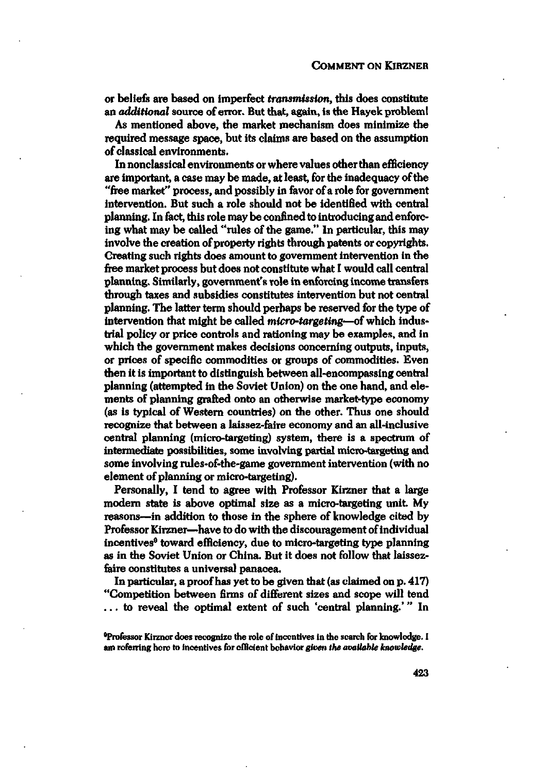**or beliefs are based on** imperfect *transmission,* **this does** constitute **an** *additional* source **of**error. **But that, again, Is**the **Hayek**problem!

**As mentioned above, the market mechanism does** minimIze **the** required **message** space, **but** its claims are based **on the** assumption **of** classical environments.

**In nonclassical** environments**or where values otherthan** efficiency **are** important, acase **may be** made, atleast; **for the** inadequacy **of the** "free market" process, and possibly in favor of a role for government **Intervention. But such a role should not be identified with** central planning. **In fact,this role** may be confined **to** Introducing andenforc**big what may be called** "rules **of the** game." **In** particular, this **may Involve the creationof** property rights through patents **or** copyrights. Creating **such rights doesamount to government Intervention in the free market**process **butdoes** not constitute what**I would** callcentral planning. Similarly, **government's** role In enforcing Income transfers through taxes and subsidies constitutes intervention **but** not central planning. The latter**term should perhaps be reserved for the** type **of** intervention that might be called *micro-targeting*—of which industrial policy **or** price controls **and** rationingmay **be examples, and in** which **the government** makes **decisions** concerning**outputs,** inputs, **or** prices **of specific commodities or groups of commodities. Even then it is important to distinguish between all-encompassing central** planning (attempted **In the Soviet Union) on the one** hand, **and elements of planning grafted onto an** otherwise market-type **economy** (as is typical **of Western** countries) on **the** other. Thus one should recognize that between a laissez-faire economy and an all-inclusive central **planning (micro-targeting) system, there Is a spectrum of** intermediate possibilities, some involving partial micro-targeting and **some involving rules-of-the-game government intervention** (with no **element of planning or micro-targeting).** 

**Personally, I** tend to agree with Professor Kirzner that a large modern state is above optimal size as a micro-targeting unit. My reasons—in addition **to those In the sphere of knowledge** cited **by Professor Kirzner—have to do with the discouragement of individual** incentives' toward efficiency, due to micro-targeting type planning as in **the** Soviet **Union or** China. **But it does** not follow thatlaissezfaire constitutes a universal panacea.

**In** particular, aproofhas **yet to be given** that (as claimed **on p.417) "Competition between** firms **of different sizes** and **scope** will **tend to** reveal **the optimal extent of such** 'central planning." **In**

<sup>&</sup>lt;sup>9</sup>Professor Kirznor does recognize the role of incentives in the search for knowledge. I am referring here to incentives for efficient behavior given the *available* knowledge.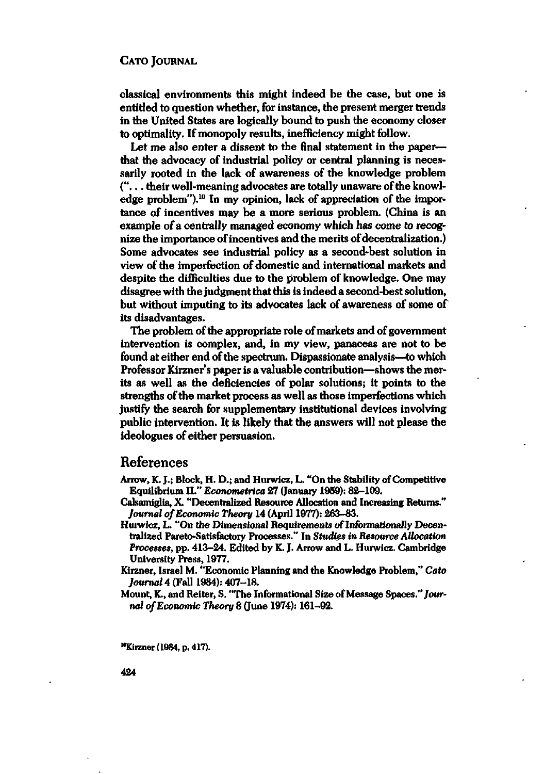classical **environments this might indeed be the** case, **but one is entitled to question whether, for instance, thepresentmerger** trends **in** the United States are logically bound to push the economy closer  $\mathbf{t}$  to optimality. If monopoly results, inefficiency might follow.

Let **me also enter a dissent to the** final **statement in the** paper that the advocacy **of industrial** policy **or** central **planning is** necessarily **rooted In the** lack **of awareness of the knowledge problem ("...their well-meaning** advocates are totally unaware ofthe knowl**edge problem")." In my opinion,** lack **of** appreciation of the importance **of incentives** may **be a more** serious problem. (China **is an** example of a centrally managed economy which has come to recognize **the**importance **ofincentives and the merits ofdecentralization.) Some** advocates **see Industrial policy as a second-best solution in view of the** imperfection of domestic and international markets and **despite the difficulties due to the j,roblem of knowledge.** One may disagree with **thejudgment**thatthis**isIndeed a second-bestsolution, but** without imputing to its advocates lack of awareness of some of its disadvantages.

The problem of the appropriate role of markets and of government **intervention is complex, and, in my view, panaceas are not to be found at either end of the spectrum.** Dispassionate analysis—to which **Professor** Klrzner's **paper** isa valuable contribution—shows themer**its as well as the deficiencies of polar solutions; it points to the** strengths of the market process as well as those imperfections which justify the search for supplementary institutional devices involving **public intervention. It** Is **likely that the answers** will **not please the ideologues of either persuasion.**

## **References**

- Arrow, K. I.; Block, H. D.; and Hurwicz, L. "On the Stability of Competitive Equilibrium IL" *Econometrica***27 (January** 1959): 82-109.
- Calsamiglia, X. "Decentralized Resource Allocation and Increasing Returns." *Journal ofEconomic Theory* **14** (April 1977): 263-83.
- Hurwicz, L. "On the Dimensional Requirements of Informationally Decentralized Pareto-Satisfactory Processes." **In** *Studfrs In Resource Allocation Processes,* **pp. 413-24.** EdIted **by K. J.** Arrow and L. Hurwlez. Cambridge **University Press,** 1977,
- Klxzner, **Israel M. "Economic** Planning and **the Knowledge Problem,"** *Cato Journal* **4** (Fall 1984): 407—18.
- Mount, K., and Reiter, S. "The Informational Size of Message Spaces." Jour*isa! qfEconotnlc Theory* **8** (June **1974): 161-92.**

"Klrznor**(LUMP p.** 417).